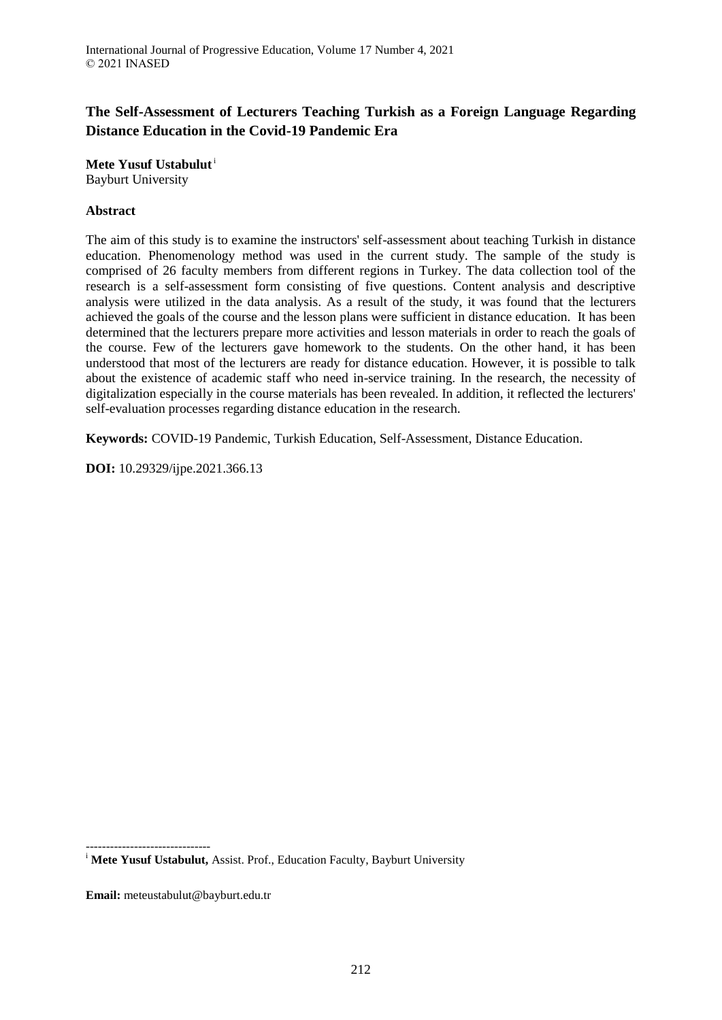# **The Self-Assessment of Lecturers Teaching Turkish as a Foreign Language Regarding Distance Education in the Covid-19 Pandemic Era**

**Mete Yusuf Ustabulut**<sup>i</sup> Bayburt University

## **Abstract**

The aim of this study is to examine the instructors' self-assessment about teaching Turkish in distance education. Phenomenology method was used in the current study. The sample of the study is comprised of 26 faculty members from different regions in Turkey. The data collection tool of the research is a self-assessment form consisting of five questions. Content analysis and descriptive analysis were utilized in the data analysis. As a result of the study, it was found that the lecturers achieved the goals of the course and the lesson plans were sufficient in distance education. It has been determined that the lecturers prepare more activities and lesson materials in order to reach the goals of the course. Few of the lecturers gave homework to the students. On the other hand, it has been understood that most of the lecturers are ready for distance education. However, it is possible to talk about the existence of academic staff who need in-service training. In the research, the necessity of digitalization especially in the course materials has been revealed. In addition, it reflected the lecturers' self-evaluation processes regarding distance education in the research.

**Keywords:** COVID-19 Pandemic, Turkish Education, Self-Assessment, Distance Education.

**DOI:** 10.29329/ijpe.2021.366.13

------------------------------- <sup>i</sup> Mete Yusuf Ustabulut, Assist. Prof., Education Faculty, Bayburt University

**Email:** meteustabulut@bayburt.edu.tr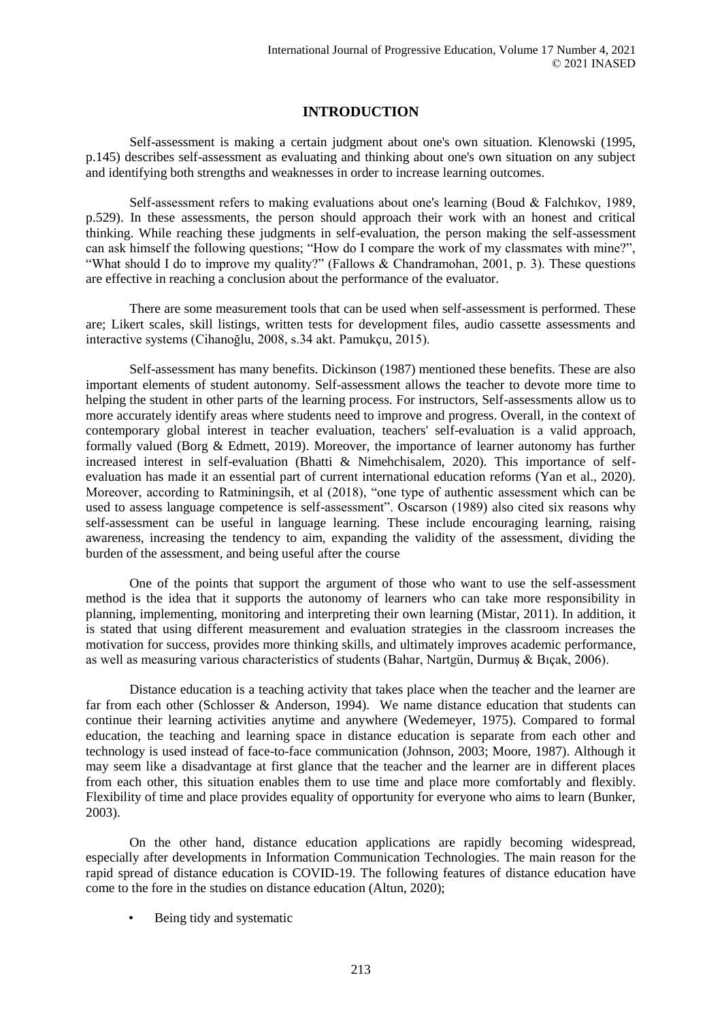## **INTRODUCTION**

Self-assessment is making a certain judgment about one's own situation. Klenowski (1995, p.145) describes self-assessment as evaluating and thinking about one's own situation on any subject and identifying both strengths and weaknesses in order to increase learning outcomes.

Self-assessment refers to making evaluations about one's learning (Boud & Falchıkov, 1989, p.529). In these assessments, the person should approach their work with an honest and critical thinking. While reaching these judgments in self-evaluation, the person making the self-assessment can ask himself the following questions; "How do I compare the work of my classmates with mine?", "What should I do to improve my quality?" (Fallows & Chandramohan, 2001, p. 3). These questions are effective in reaching a conclusion about the performance of the evaluator.

There are some measurement tools that can be used when self-assessment is performed. These are; Likert scales, skill listings, written tests for development files, audio cassette assessments and interactive systems (Cihanoğlu, 2008, s.34 akt. Pamukçu, 2015).

Self-assessment has many benefits. Dickinson (1987) mentioned these benefits. These are also important elements of student autonomy. Self-assessment allows the teacher to devote more time to helping the student in other parts of the learning process. For instructors, Self-assessments allow us to more accurately identify areas where students need to improve and progress. Overall, in the context of contemporary global interest in teacher evaluation, teachers' self-evaluation is a valid approach, formally valued (Borg & Edmett, 2019). Moreover, the importance of learner autonomy has further increased interest in self-evaluation (Bhatti & Nimehchisalem, 2020). This importance of selfevaluation has made it an essential part of current international education reforms (Yan et al., 2020). Moreover, according to Ratminingsih, et al (2018), "one type of authentic assessment which can be used to assess language competence is self-assessment". Oscarson (1989) also cited six reasons why self-assessment can be useful in language learning. These include encouraging learning, raising awareness, increasing the tendency to aim, expanding the validity of the assessment, dividing the burden of the assessment, and being useful after the course

One of the points that support the argument of those who want to use the self-assessment method is the idea that it supports the autonomy of learners who can take more responsibility in planning, implementing, monitoring and interpreting their own learning (Mistar, 2011). In addition, it is stated that using different measurement and evaluation strategies in the classroom increases the motivation for success, provides more thinking skills, and ultimately improves academic performance, as well as measuring various characteristics of students (Bahar, Nartgün, Durmuş & Bıçak, 2006).

Distance education is a teaching activity that takes place when the teacher and the learner are far from each other (Schlosser & Anderson, 1994). We name distance education that students can continue their learning activities anytime and anywhere (Wedemeyer, 1975). Compared to formal education, the teaching and learning space in distance education is separate from each other and technology is used instead of face-to-face communication (Johnson, 2003; Moore, 1987). Although it may seem like a disadvantage at first glance that the teacher and the learner are in different places from each other, this situation enables them to use time and place more comfortably and flexibly. Flexibility of time and place provides equality of opportunity for everyone who aims to learn (Bunker, 2003).

On the other hand, distance education applications are rapidly becoming widespread, especially after developments in Information Communication Technologies. The main reason for the rapid spread of distance education is COVID-19. The following features of distance education have come to the fore in the studies on distance education (Altun, 2020);

• Being tidy and systematic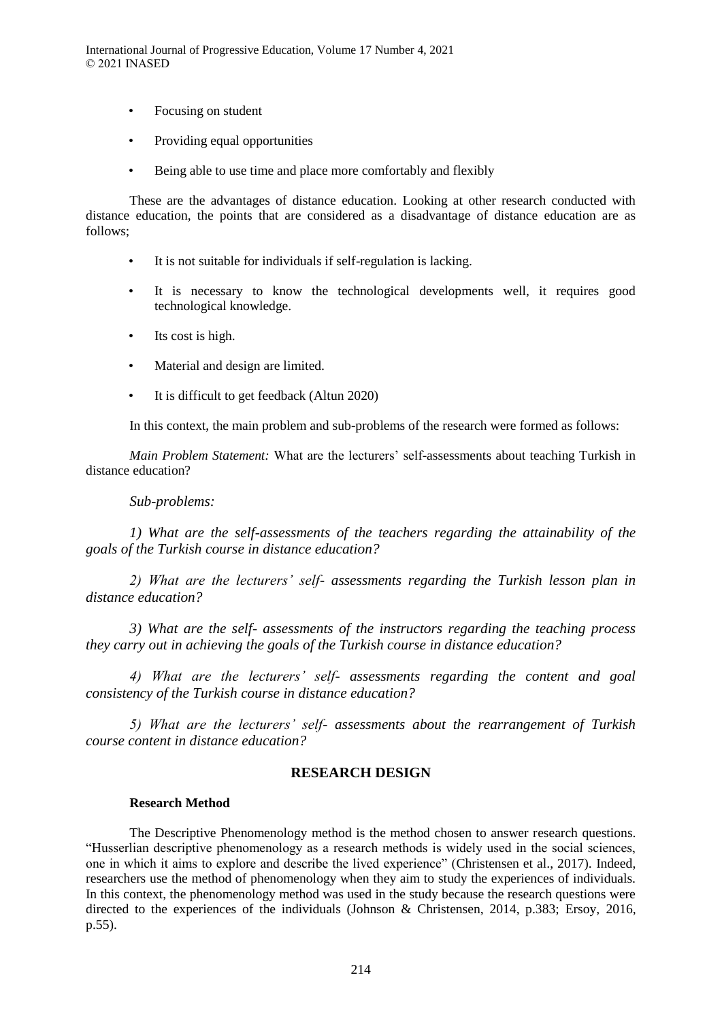International Journal of Progressive Education, Volume 17 Number 4, 2021 © 2021 INASED

- Focusing on student
- Providing equal opportunities
- Being able to use time and place more comfortably and flexibly

These are the advantages of distance education. Looking at other research conducted with distance education, the points that are considered as a disadvantage of distance education are as follows;

- It is not suitable for individuals if self-regulation is lacking.
- It is necessary to know the technological developments well, it requires good technological knowledge.
- Its cost is high.
- Material and design are limited.
- It is difficult to get feedback (Altun 2020)

In this context, the main problem and sub-problems of the research were formed as follows:

*Main Problem Statement:* What are the lecturers' self-assessments about teaching Turkish in distance education?

#### *Sub-problems:*

*1) What are the self-assessments of the teachers regarding the attainability of the goals of the Turkish course in distance education?*

*2) What are the lecturers' self- assessments regarding the Turkish lesson plan in distance education?* 

*3) What are the self- assessments of the instructors regarding the teaching process they carry out in achieving the goals of the Turkish course in distance education?*

*4) What are the lecturers' self- assessments regarding the content and goal consistency of the Turkish course in distance education?*

*5) What are the lecturers' self- assessments about the rearrangement of Turkish course content in distance education?* 

#### **RESEARCH DESIGN**

#### **Research Method**

The Descriptive Phenomenology method is the method chosen to answer research questions. "Husserlian descriptive phenomenology as a research methods is widely used in the social sciences, one in which it aims to explore and describe the lived experience" (Christensen et al., 2017). Indeed, researchers use the method of phenomenology when they aim to study the experiences of individuals. In this context, the phenomenology method was used in the study because the research questions were directed to the experiences of the individuals (Johnson & Christensen, 2014, p.383; Ersoy, 2016, p.55).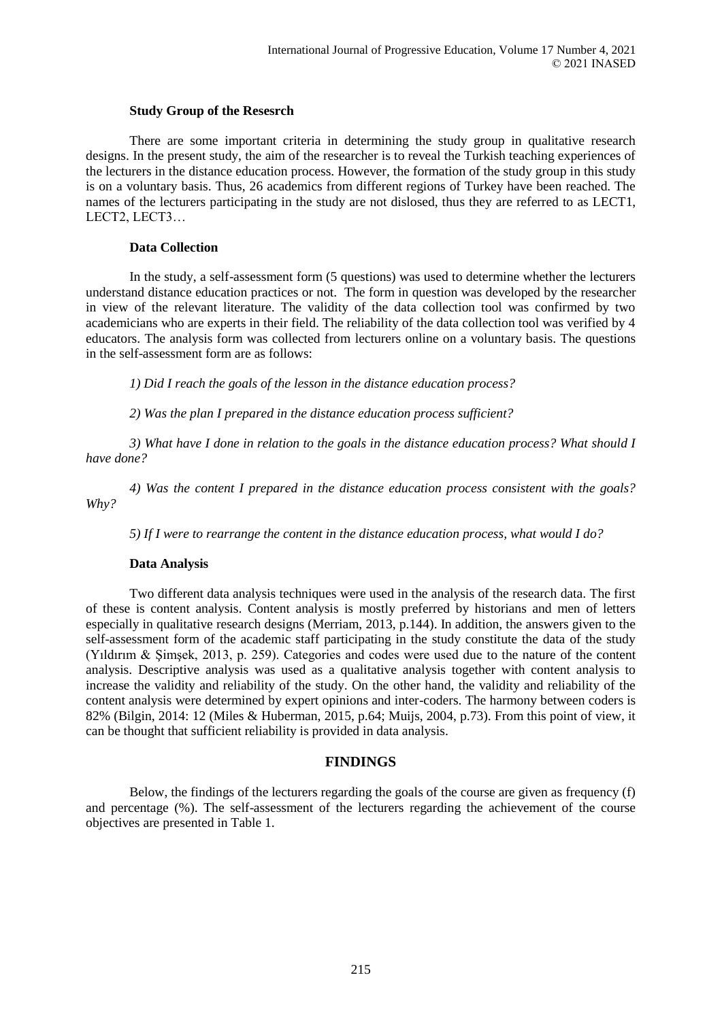## **Study Group of the Resesrch**

There are some important criteria in determining the study group in qualitative research designs. In the present study, the aim of the researcher is to reveal the Turkish teaching experiences of the lecturers in the distance education process. However, the formation of the study group in this study is on a voluntary basis. Thus, 26 academics from different regions of Turkey have been reached. The names of the lecturers participating in the study are not dislosed, thus they are referred to as LECT1, LECT2, LECT3…

## **Data Collection**

In the study, a self-assessment form (5 questions) was used to determine whether the lecturers understand distance education practices or not. The form in question was developed by the researcher in view of the relevant literature. The validity of the data collection tool was confirmed by two academicians who are experts in their field. The reliability of the data collection tool was verified by 4 educators. The analysis form was collected from lecturers online on a voluntary basis. The questions in the self-assessment form are as follows:

*1) Did I reach the goals of the lesson in the distance education process?*

*2) Was the plan I prepared in the distance education process sufficient?*

*3) What have I done in relation to the goals in the distance education process? What should I have done?*

*4) Was the content I prepared in the distance education process consistent with the goals? Why?*

*5) If I were to rearrange the content in the distance education process, what would I do?*

## **Data Analysis**

Two different data analysis techniques were used in the analysis of the research data. The first of these is content analysis. Content analysis is mostly preferred by historians and men of letters especially in qualitative research designs (Merriam, 2013, p.144). In addition, the answers given to the self-assessment form of the academic staff participating in the study constitute the data of the study (Yıldırım & Şimşek, 2013, p. 259). Categories and codes were used due to the nature of the content analysis. Descriptive analysis was used as a qualitative analysis together with content analysis to increase the validity and reliability of the study. On the other hand, the validity and reliability of the content analysis were determined by expert opinions and inter-coders. The harmony between coders is 82% (Bilgin, 2014: 12 (Miles & Huberman, 2015, p.64; Muijs, 2004, p.73). From this point of view, it can be thought that sufficient reliability is provided in data analysis.

## **FINDINGS**

Below, the findings of the lecturers regarding the goals of the course are given as frequency (f) and percentage (%). The self-assessment of the lecturers regarding the achievement of the course objectives are presented in Table 1.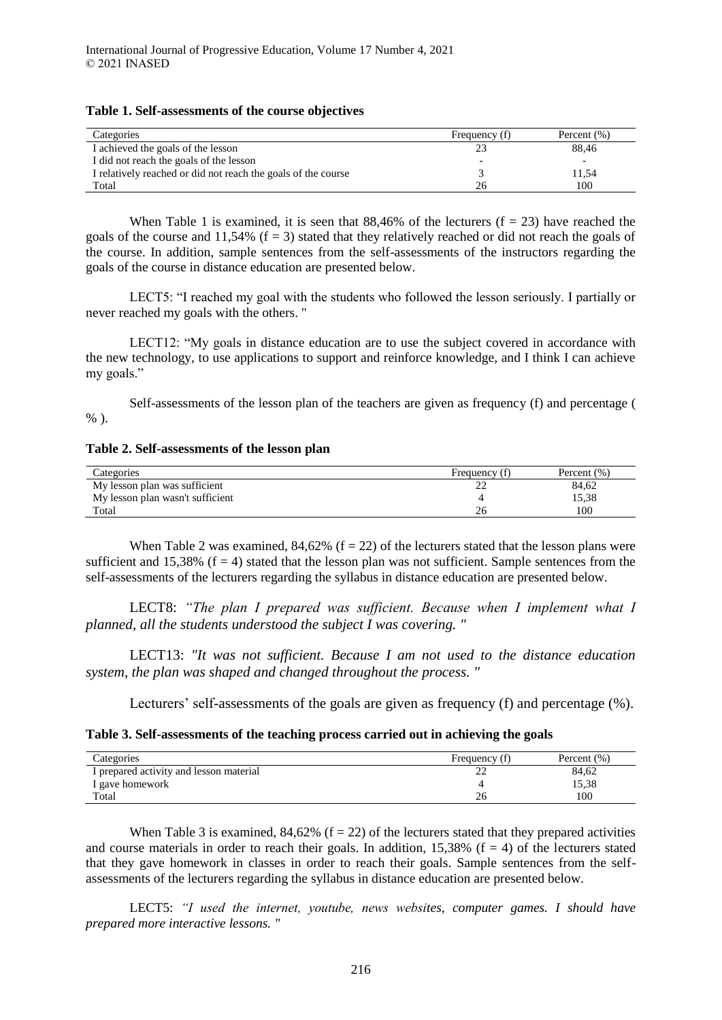#### **Table 1. Self-assessments of the course objectives**

| Categories                                                    | Frequency (f) | Percent $(\%)$ |
|---------------------------------------------------------------|---------------|----------------|
| I achieved the goals of the lesson                            |               | 88.46          |
| I did not reach the goals of the lesson                       |               |                |
| I relatively reached or did not reach the goals of the course |               | 11.54          |
| Total                                                         | 26            | 100            |

When Table 1 is examined, it is seen that  $88,46\%$  of the lecturers ( $f = 23$ ) have reached the goals of the course and 11,54% ( $f = 3$ ) stated that they relatively reached or did not reach the goals of the course. In addition, sample sentences from the self-assessments of the instructors regarding the goals of the course in distance education are presented below.

LECT5: "I reached my goal with the students who followed the lesson seriously. I partially or never reached my goals with the others. "

LECT12: "My goals in distance education are to use the subject covered in accordance with the new technology, to use applications to support and reinforce knowledge, and I think I can achieve my goals."

Self-assessments of the lesson plan of the teachers are given as frequency (f) and percentage (  $%$ ).

## **Table 2. Self-assessments of the lesson plan**

| Categories                       | Frequency (f) | Percent $(\%)$ |
|----------------------------------|---------------|----------------|
| My lesson plan was sufficient    |               | 84,62          |
| My lesson plan wasn't sufficient |               | 15,38          |
| Total                            |               | 100            |

When Table 2 was examined,  $84,62\%$  (f = 22) of the lecturers stated that the lesson plans were sufficient and 15,38% ( $f = 4$ ) stated that the lesson plan was not sufficient. Sample sentences from the self-assessments of the lecturers regarding the syllabus in distance education are presented below.

LECT8: *"The plan I prepared was sufficient. Because when I implement what I planned, all the students understood the subject I was covering. "*

LECT13: *"It was not sufficient. Because I am not used to the distance education system, the plan was shaped and changed throughout the process. "*

Lecturers' self-assessments of the goals are given as frequency (f) and percentage (%).

**Table 3. Self-assessments of the teaching process carried out in achieving the goals**

| Categories                              | Frequency (f) | Percent (%) |
|-----------------------------------------|---------------|-------------|
| I prepared activity and lesson material |               | 84.62       |
| I gave homework                         |               | 15,38       |
| Total                                   | 26            | 100         |

When Table 3 is examined,  $84,62\%$  (f = 22) of the lecturers stated that they prepared activities and course materials in order to reach their goals. In addition,  $15,38\%$  (f = 4) of the lecturers stated that they gave homework in classes in order to reach their goals. Sample sentences from the selfassessments of the lecturers regarding the syllabus in distance education are presented below.

LECT5: *"I used the internet, youtube, news websites, computer games. I should have prepared more interactive lessons. "*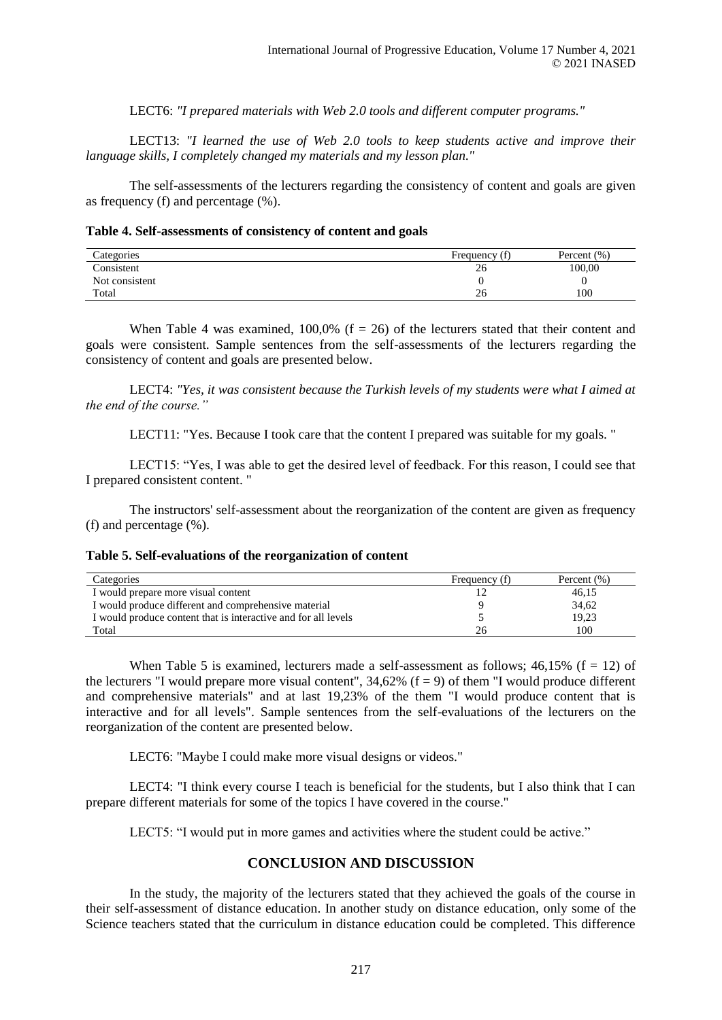LECT6: *"I prepared materials with Web 2.0 tools and different computer programs."*

LECT13: *"I learned the use of Web 2.0 tools to keep students active and improve their language skills, I completely changed my materials and my lesson plan."*

The self-assessments of the lecturers regarding the consistency of content and goals are given as frequency (f) and percentage (%).

#### **Table 4. Self-assessments of consistency of content and goals**

| Categories     | Frequency (f) | Percent (%) |
|----------------|---------------|-------------|
| Consistent     | 26            | 100,00      |
| Not consistent |               |             |
| Total          | 26            | 100         |

When Table 4 was examined,  $100.0\%$  (f = 26) of the lecturers stated that their content and goals were consistent. Sample sentences from the self-assessments of the lecturers regarding the consistency of content and goals are presented below.

LECT4: *"Yes, it was consistent because the Turkish levels of my students were what I aimed at the end of the course."*

LECT11: "Yes. Because I took care that the content I prepared was suitable for my goals. "

LECT15: "Yes, I was able to get the desired level of feedback. For this reason, I could see that I prepared consistent content. "

The instructors' self-assessment about the reorganization of the content are given as frequency (f) and percentage (%).

#### **Table 5. Self-evaluations of the reorganization of content**

| Categories                                                     | Frequency (f) | Percent $(\% )$ |
|----------------------------------------------------------------|---------------|-----------------|
| I would prepare more visual content                            |               | 46,15           |
| I would produce different and comprehensive material           |               | 34,62           |
| I would produce content that is interactive and for all levels |               | 19,23           |
| Total                                                          | 26            | 100             |

When Table 5 is examined, lecturers made a self-assessment as follows;  $46.15\%$  (f = 12) of the lecturers "I would prepare more visual content",  $34,62\%$  (f = 9) of them "I would produce different and comprehensive materials" and at last 19,23% of the them "I would produce content that is interactive and for all levels". Sample sentences from the self-evaluations of the lecturers on the reorganization of the content are presented below.

LECT6: "Maybe I could make more visual designs or videos."

LECT4: "I think every course I teach is beneficial for the students, but I also think that I can prepare different materials for some of the topics I have covered in the course."

LECT5: "I would put in more games and activities where the student could be active."

## **CONCLUSION AND DISCUSSION**

In the study, the majority of the lecturers stated that they achieved the goals of the course in their self-assessment of distance education. In another study on distance education, only some of the Science teachers stated that the curriculum in distance education could be completed. This difference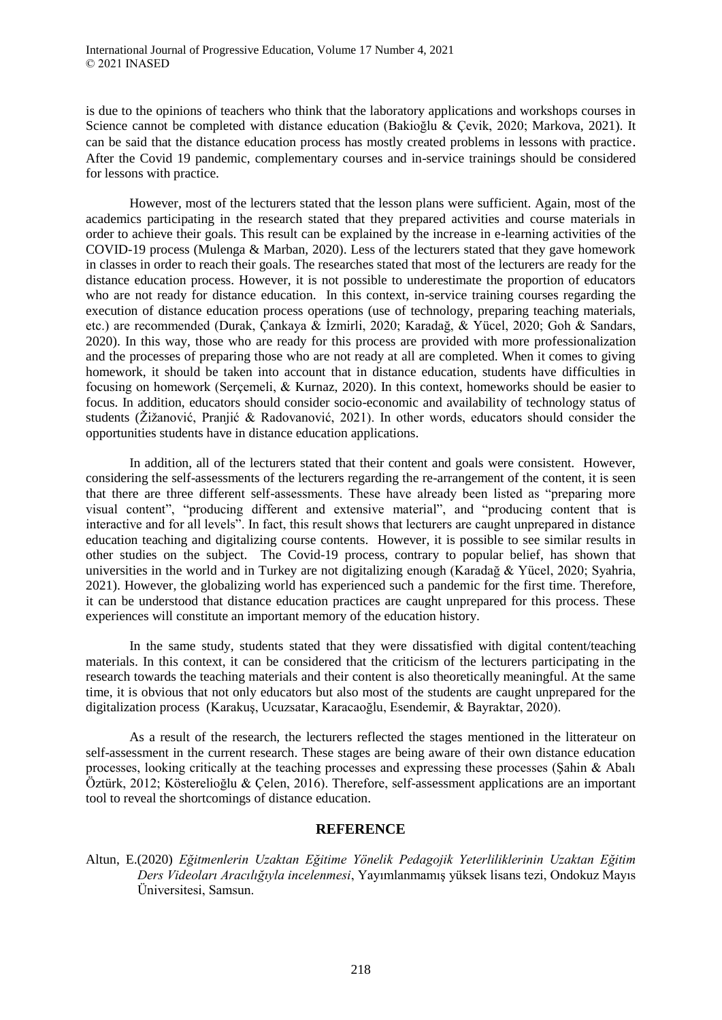is due to the opinions of teachers who think that the laboratory applications and workshops courses in Science cannot be completed with distance education (Bakioğlu & Çevik, 2020; Markova, 2021). It can be said that the distance education process has mostly created problems in lessons with practice. After the Covid 19 pandemic, complementary courses and in-service trainings should be considered for lessons with practice.

However, most of the lecturers stated that the lesson plans were sufficient. Again, most of the academics participating in the research stated that they prepared activities and course materials in order to achieve their goals. This result can be explained by the increase in e-learning activities of the COVID-19 process (Mulenga & Marban, 2020). Less of the lecturers stated that they gave homework in classes in order to reach their goals. The researches stated that most of the lecturers are ready for the distance education process. However, it is not possible to underestimate the proportion of educators who are not ready for distance education. In this context, in-service training courses regarding the execution of distance education process operations (use of technology, preparing teaching materials, etc.) are recommended (Durak, Çankaya & İzmirli, 2020; Karadağ, & Yücel, 2020; Goh & Sandars, 2020). In this way, those who are ready for this process are provided with more professionalization and the processes of preparing those who are not ready at all are completed. When it comes to giving homework, it should be taken into account that in distance education, students have difficulties in focusing on homework (Serçemeli, & Kurnaz, 2020). In this context, homeworks should be easier to focus. In addition, educators should consider socio-economic and availability of technology status of students (Žižanović, Pranjić & Radovanović, 2021). In other words, educators should consider the opportunities students have in distance education applications.

In addition, all of the lecturers stated that their content and goals were consistent. However, considering the self-assessments of the lecturers regarding the re-arrangement of the content, it is seen that there are three different self-assessments. These have already been listed as "preparing more visual content", "producing different and extensive material", and "producing content that is interactive and for all levels". In fact, this result shows that lecturers are caught unprepared in distance education teaching and digitalizing course contents. However, it is possible to see similar results in other studies on the subject. The Covid-19 process, contrary to popular belief, has shown that universities in the world and in Turkey are not digitalizing enough (Karadağ & Yücel, 2020; Syahria, 2021). However, the globalizing world has experienced such a pandemic for the first time. Therefore, it can be understood that distance education practices are caught unprepared for this process. These experiences will constitute an important memory of the education history.

In the same study, students stated that they were dissatisfied with digital content/teaching materials. In this context, it can be considered that the criticism of the lecturers participating in the research towards the teaching materials and their content is also theoretically meaningful. At the same time, it is obvious that not only educators but also most of the students are caught unprepared for the digitalization process (Karakuş, Ucuzsatar, Karacaoğlu, Esendemir, & Bayraktar, 2020).

As a result of the research, the lecturers reflected the stages mentioned in the litterateur on self-assessment in the current research. These stages are being aware of their own distance education processes, looking critically at the teaching processes and expressing these processes (Şahin & Abalı Öztürk, 2012; Kösterelioğlu & Çelen, 2016). Therefore, self-assessment applications are an important tool to reveal the shortcomings of distance education.

## **REFERENCE**

Altun, E.(2020) *Eğitmenlerin Uzaktan Eğitime Yönelik Pedagojik Yeterliliklerinin Uzaktan Eğitim Ders Videoları Aracılığıyla incelenmesi*, Yayımlanmamış yüksek lisans tezi, Ondokuz Mayıs Üniversitesi, Samsun.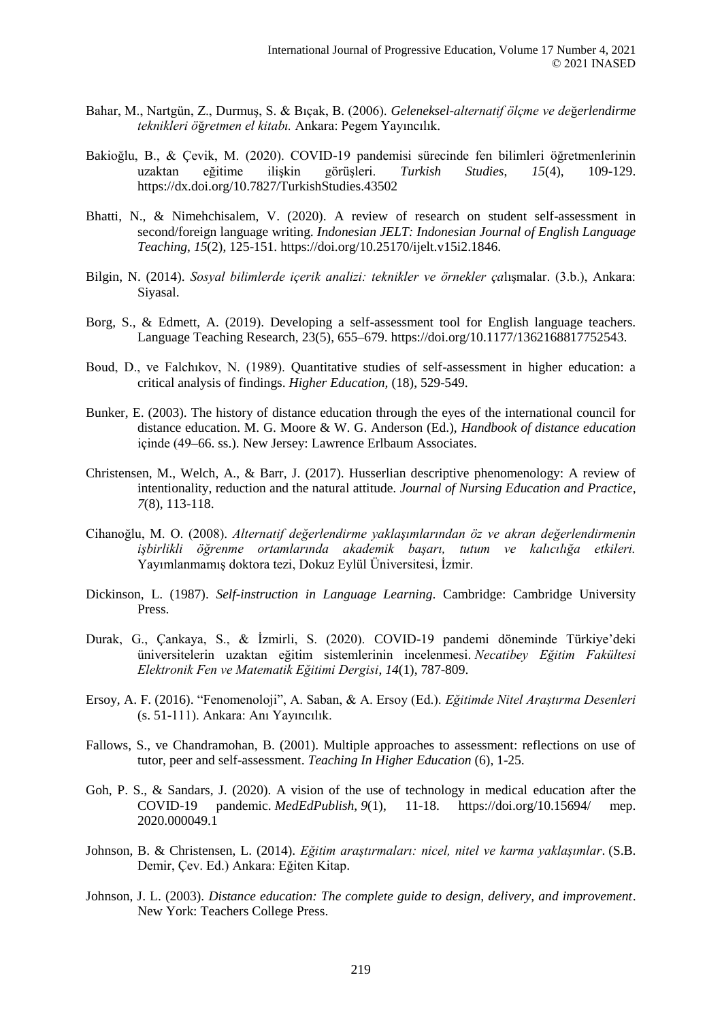- Bahar, M., Nartgün, Z., Durmuş, S. & Bıçak, B. (2006). *Geleneksel-alternatif ölçme ve de*ğ*erlendirme teknikleri ö*ğ*retmen el kitabı.* Ankara: Pegem Yayıncılık.
- Bakioğlu, B., & Çevik, M. (2020). COVID-19 pandemisi sürecinde fen bilimleri öğretmenlerinin uzaktan eğitime ilişkin görüşleri. *Turkish Studies*, *15*(4), 109-129. https://dx.doi.org/10.7827/TurkishStudies.43502
- Bhatti, N., & Nimehchisalem, V. (2020). A review of research on student self-assessment in second/foreign language writing. *Indonesian JELT: Indonesian Journal of English Language Teaching*, *15*(2), 125-151. https://doi.org/10.25170/ijelt.v15i2.1846.
- Bilgin, N. (2014). *Sosyal bilimlerde içerik analizi: teknikler ve örnekler ça*lışmalar. (3.b.), Ankara: Siyasal.
- Borg, S., & Edmett, A. (2019). Developing a self-assessment tool for English language teachers. Language Teaching Research, 23(5), 655–679. https://doi.org/10.1177/1362168817752543.
- Boud, D., ve Falchıkov, N. (1989). Quantitative studies of self-assessment in higher education: a critical analysis of findings. *Higher Education,* (18), 529-549.
- Bunker, E. (2003). The history of distance education through the eyes of the international council for distance education. M. G. Moore & W. G. Anderson (Ed.), *Handbook of distance education* içinde (49–66. ss.). New Jersey: Lawrence Erlbaum Associates.
- Christensen, M., Welch, A., & Barr, J. (2017). Husserlian descriptive phenomenology: A review of intentionality, reduction and the natural attitude. *Journal of Nursing Education and Practice*, *7*(8), 113-118.
- Cihanoğlu, M. O. (2008). *Alternatif değerlendirme yaklaşımlarından öz ve akran değerlendirmenin işbirlikli öğrenme ortamlarında akademik başarı, tutum ve kalıcılığa etkileri.*  Yayımlanmamış doktora tezi, Dokuz Eylül Üniversitesi, İzmir.
- Dickinson, L. (1987). *Self-instruction in Language Learning*. Cambridge: Cambridge University Press.
- Durak, G., Çankaya, S., & İzmirli, S. (2020). COVID-19 pandemi döneminde Türkiye'deki üniversitelerin uzaktan eğitim sistemlerinin incelenmesi. *Necatibey Eğitim Fakültesi Elektronik Fen ve Matematik Eğitimi Dergisi*, *14*(1), 787-809.
- Ersoy, A. F. (2016). "Fenomenoloji", A. Saban, & A. Ersoy (Ed.). *Eğitimde Nitel Araştırma Desenleri* (s. 51-111). Ankara: Anı Yayıncılık.
- Fallows, S., ve Chandramohan, B. (2001). Multiple approaches to assessment: reflections on use of tutor, peer and self-assessment. *Teaching In Higher Education* (6), 1-25.
- Goh, P. S., & Sandars, J. (2020). A vision of the use of technology in medical education after the COVID-19 pandemic. *MedEdPublish*, *9*(1), 11-18. https://doi.org/10.15694/ mep. 2020.000049.1
- Johnson, B. & Christensen, L. (2014). *Eğitim araştırmaları: nicel, nitel ve karma yaklaşımlar*. (S.B. Demir, Çev. Ed.) Ankara: Eğiten Kitap.
- Johnson, J. L. (2003). *Distance education: The complete guide to design, delivery, and improvement*. New York: Teachers College Press.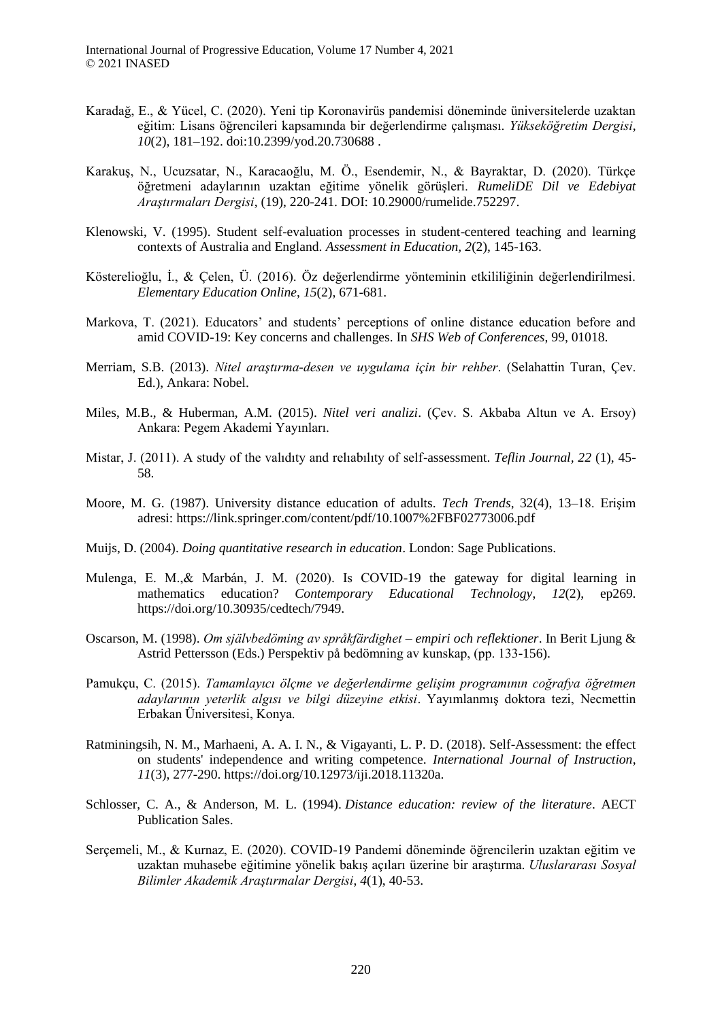International Journal of Progressive Education, Volume 17 Number 4, 2021 © 2021 INASED

- Karadağ, E., & Yücel, C. (2020). Yeni tip Koronavirüs pandemisi döneminde üniversitelerde uzaktan eğitim: Lisans öğrencileri kapsamında bir değerlendirme çalışması. *Yükseköğretim Dergisi*, *10*(2), 181–192. doi:10.2399/yod.20.730688 .
- Karakuş, N., Ucuzsatar, N., Karacaoğlu, M. Ö., Esendemir, N., & Bayraktar, D. (2020). Türkçe öğretmeni adaylarının uzaktan eğitime yönelik görüşleri. *RumeliDE Dil ve Edebiyat Araştırmaları Dergisi*, (19), 220-241. DOI: 10.29000/rumelide.752297.
- Klenowski, V. (1995). Student self-evaluation processes in student-centered teaching and learning contexts of Australia and England. *Assessment in Education, 2*(2), 145-163.
- Kösterelioğlu, İ., & Çelen, Ü. (2016). Öz değerlendirme yönteminin etkililiğinin değerlendirilmesi. *Elementary Education Online*, *15*(2), 671-681.
- Markova, T. (2021). Educators' and students' perceptions of online distance education before and amid COVID-19: Key concerns and challenges. In *SHS Web of Conferences*, 99, 01018.
- Merriam, S.B. (2013). *Nitel araştırma-desen ve uygulama için bir rehber*. (Selahattin Turan, Çev. Ed.), Ankara: Nobel.
- Miles, M.B., & Huberman, A.M. (2015). *Nitel veri analizi*. (Çev. S. Akbaba Altun ve A. Ersoy) Ankara: Pegem Akademi Yayınları.
- Mistar, J. (2011). A study of the valıdıty and relıabılıty of self-assessment. *Teflin Journal, 22* (1), 45- 58.
- Moore, M. G. (1987). University distance education of adults. *Tech Trends*, 32(4), 13–18. Erişim adresi: https://link.springer.com/content/pdf/10.1007%2FBF02773006.pdf
- Muijs, D. (2004). *Doing quantitative research in education*. London: Sage Publications.
- Mulenga, E. M.,& Marbán, J. M. (2020). Is COVID-19 the gateway for digital learning in mathematics education? *Contemporary Educational Technology*, *12*(2), ep269. https://doi.org/10.30935/cedtech/7949.
- Oscarson, M. (1998). *Om självbedöming av språkfärdighet – empiri och reflektioner*. In Berit Ljung & Astrid Pettersson (Eds.) Perspektiv på bedömning av kunskap, (pp. 133-156).
- Pamukçu, C. (2015). *Tamamlayıcı ölçme ve değerlendirme gelişim programının coğrafya öğretmen adaylarının yeterlik algısı ve bilgi düzeyine etkisi*. Yayımlanmış doktora tezi, Necmettin Erbakan Üniversitesi, Konya.
- Ratminingsih, N. M., Marhaeni, A. A. I. N., & Vigayanti, L. P. D. (2018). Self-Assessment: the effect on students' independence and writing competence. *International Journal of Instruction*, *11*(3), 277-290. https://doi.org/10.12973/iji.2018.11320a.
- Schlosser, C. A., & Anderson, M. L. (1994). *Distance education: review of the literature*. AECT Publication Sales.
- Serçemeli, M., & Kurnaz, E. (2020). COVID-19 Pandemi döneminde öğrencilerin uzaktan eğitim ve uzaktan muhasebe eğitimine yönelik bakış açıları üzerine bir araştırma. *Uluslararası Sosyal Bilimler Akademik Araştırmalar Dergisi*, *4*(1), 40-53.